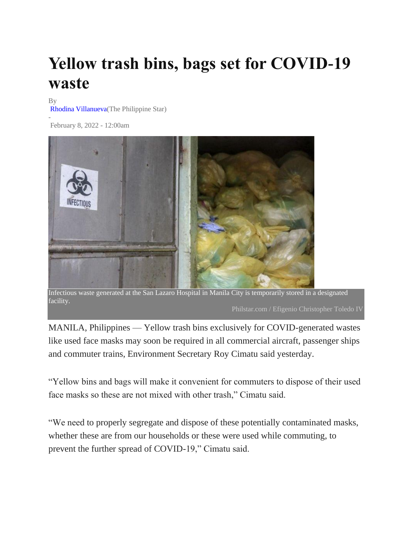## **Yellow trash bins, bags set for COVID-19 waste**

## By

-

[Rhodina Villanueva\(](https://www.philstar.com/authors/1685860/rhodina-villanueva)The Philippine Star)

February 8, 2022 - 12:00am



Infectious waste generated at the San Lazaro Hospital in Manila City is temporarily stored in a designated facility.

MANILA, Philippines — Yellow trash bins exclusively for COVID-generated wastes like used face masks may soon be required in all commercial aircraft, passenger ships and commuter trains, Environment Secretary Roy Cimatu said yesterday.

"Yellow bins and bags will make it convenient for commuters to dispose of their used face masks so these are not mixed with other trash," Cimatu said.

"We need to properly segregate and dispose of these potentially contaminated masks, whether these are from our households or these were used while commuting, to prevent the further spread of COVID-19," Cimatu said.